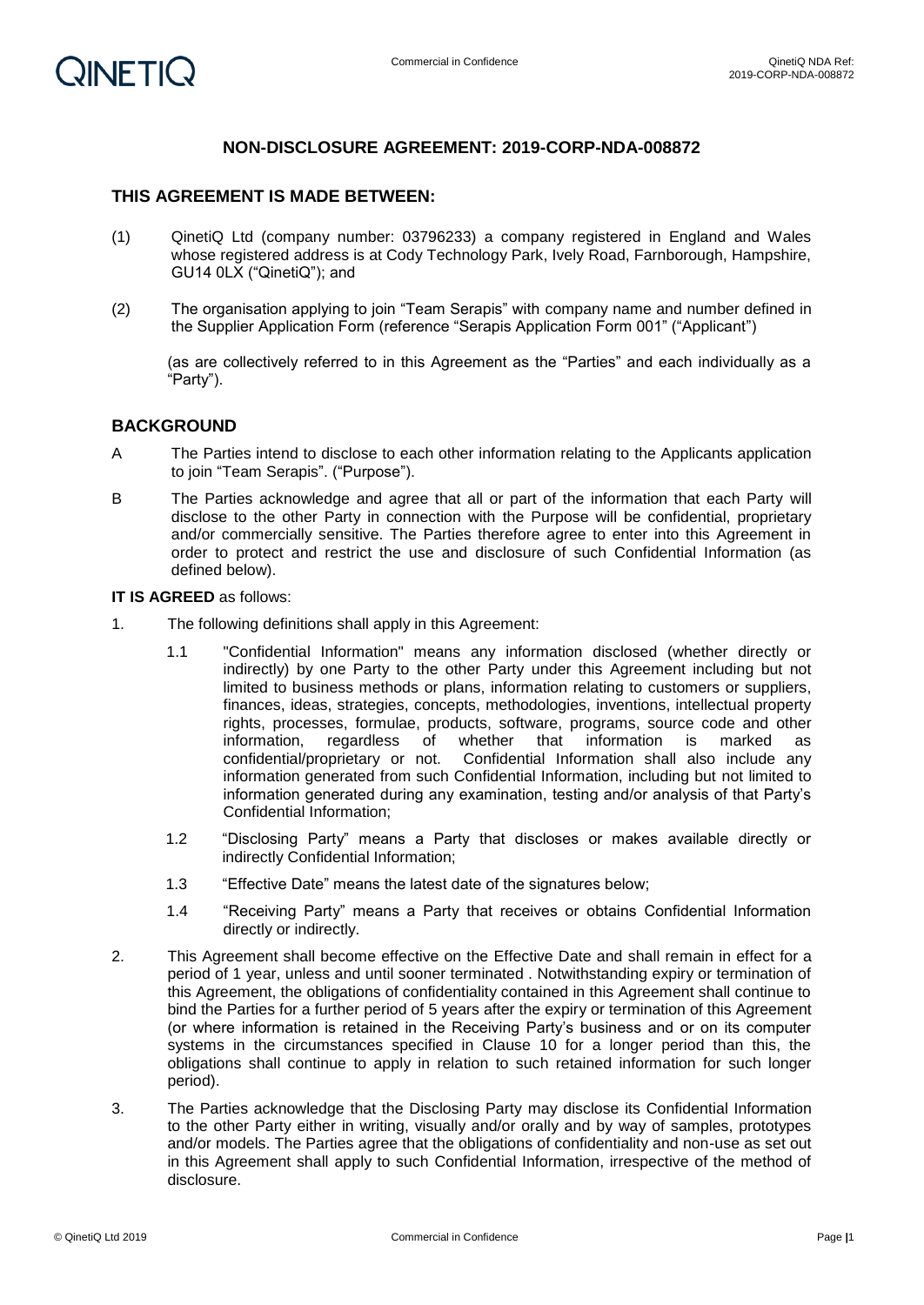## **NON-DISCLOSURE AGREEMENT: 2019-CORP-NDA-008872**

#### **THIS AGREEMENT IS MADE BETWEEN:**

- (1) QinetiQ Ltd (company number: 03796233) a company registered in England and Wales whose registered address is at Cody Technology Park, Ively Road, Farnborough, Hampshire, GU14 0LX ("QinetiQ"); and
- (2) The organisation applying to join "Team Serapis" with company name and number defined in the Supplier Application Form (reference "Serapis Application Form 001" ("Applicant")

(as are collectively referred to in this Agreement as the "Parties" and each individually as a "Party").

### **BACKGROUND**

- A The Parties intend to disclose to each other information relating to the Applicants application to join "Team Serapis". ("Purpose").
- B The Parties acknowledge and agree that all or part of the information that each Party will disclose to the other Party in connection with the Purpose will be confidential, proprietary and/or commercially sensitive. The Parties therefore agree to enter into this Agreement in order to protect and restrict the use and disclosure of such Confidential Information (as defined below).

#### **IT IS AGREED** as follows:

- 1. The following definitions shall apply in this Agreement:
	- 1.1 "Confidential Information" means any information disclosed (whether directly or indirectly) by one Party to the other Party under this Agreement including but not limited to business methods or plans, information relating to customers or suppliers, finances, ideas, strategies, concepts, methodologies, inventions, intellectual property rights, processes, formulae, products, software, programs, source code and other information, regardless of whether that information is marked as information, regardless of whether that information is marked as confidential/proprietary or not. Confidential Information shall also include any information generated from such Confidential Information, including but not limited to information generated during any examination, testing and/or analysis of that Party's Confidential Information;
	- 1.2 "Disclosing Party" means a Party that discloses or makes available directly or indirectly Confidential Information;
	- 1.3 "Effective Date" means the latest date of the signatures below;
	- 1.4 "Receiving Party" means a Party that receives or obtains Confidential Information directly or indirectly.
- 2. This Agreement shall become effective on the Effective Date and shall remain in effect for a period of 1 year, unless and until sooner terminated . Notwithstanding expiry or termination of this Agreement, the obligations of confidentiality contained in this Agreement shall continue to bind the Parties for a further period of 5 years after the expiry or termination of this Agreement (or where information is retained in the Receiving Party's business and or on its computer systems in the circumstances specified in Clause 10 for a longer period than this, the obligations shall continue to apply in relation to such retained information for such longer period).
- 3. The Parties acknowledge that the Disclosing Party may disclose its Confidential Information to the other Party either in writing, visually and/or orally and by way of samples, prototypes and/or models. The Parties agree that the obligations of confidentiality and non-use as set out in this Agreement shall apply to such Confidential Information, irrespective of the method of disclosure.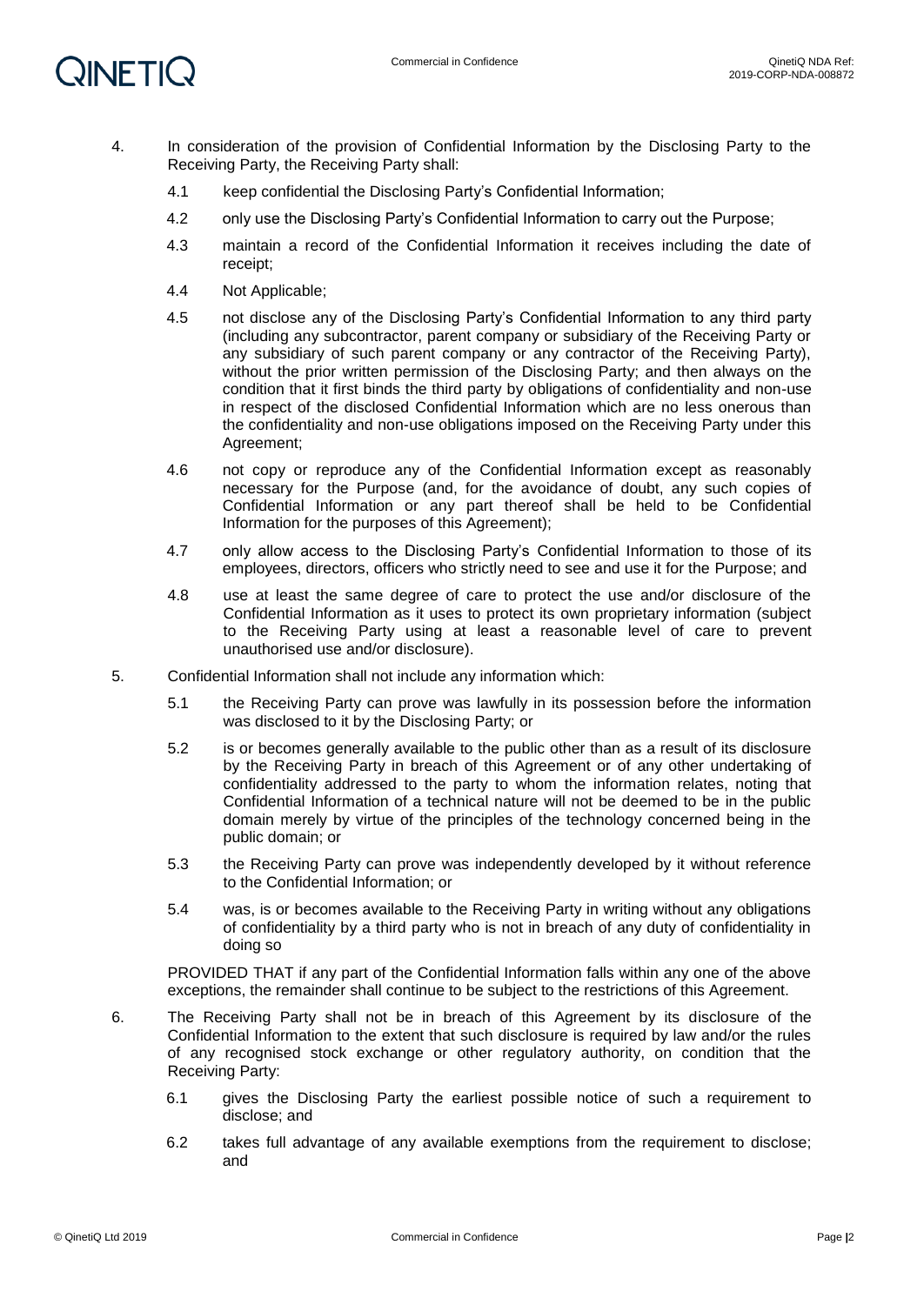

- 4. In consideration of the provision of Confidential Information by the Disclosing Party to the Receiving Party, the Receiving Party shall:
	- 4.1 keep confidential the Disclosing Party's Confidential Information;
	- 4.2 only use the Disclosing Party's Confidential Information to carry out the Purpose;
	- 4.3 maintain a record of the Confidential Information it receives including the date of receipt;
	- 4.4 Not Applicable;
	- 4.5 not disclose any of the Disclosing Party's Confidential Information to any third party (including any subcontractor, parent company or subsidiary of the Receiving Party or any subsidiary of such parent company or any contractor of the Receiving Party), without the prior written permission of the Disclosing Party; and then always on the condition that it first binds the third party by obligations of confidentiality and non-use in respect of the disclosed Confidential Information which are no less onerous than the confidentiality and non-use obligations imposed on the Receiving Party under this Agreement;
	- 4.6 not copy or reproduce any of the Confidential Information except as reasonably necessary for the Purpose (and, for the avoidance of doubt, any such copies of Confidential Information or any part thereof shall be held to be Confidential Information for the purposes of this Agreement);
	- 4.7 only allow access to the Disclosing Party's Confidential Information to those of its employees, directors, officers who strictly need to see and use it for the Purpose; and
	- 4.8 use at least the same degree of care to protect the use and/or disclosure of the Confidential Information as it uses to protect its own proprietary information (subject to the Receiving Party using at least a reasonable level of care to prevent unauthorised use and/or disclosure).
- 5. Confidential Information shall not include any information which:
	- 5.1 the Receiving Party can prove was lawfully in its possession before the information was disclosed to it by the Disclosing Party; or
	- 5.2 is or becomes generally available to the public other than as a result of its disclosure by the Receiving Party in breach of this Agreement or of any other undertaking of confidentiality addressed to the party to whom the information relates, noting that Confidential Information of a technical nature will not be deemed to be in the public domain merely by virtue of the principles of the technology concerned being in the public domain; or
	- 5.3 the Receiving Party can prove was independently developed by it without reference to the Confidential Information; or
	- 5.4 was, is or becomes available to the Receiving Party in writing without any obligations of confidentiality by a third party who is not in breach of any duty of confidentiality in doing so

PROVIDED THAT if any part of the Confidential Information falls within any one of the above exceptions, the remainder shall continue to be subject to the restrictions of this Agreement.

- 6. The Receiving Party shall not be in breach of this Agreement by its disclosure of the Confidential Information to the extent that such disclosure is required by law and/or the rules of any recognised stock exchange or other regulatory authority, on condition that the Receiving Party:
	- 6.1 gives the Disclosing Party the earliest possible notice of such a requirement to disclose; and
	- 6.2 takes full advantage of any available exemptions from the requirement to disclose; and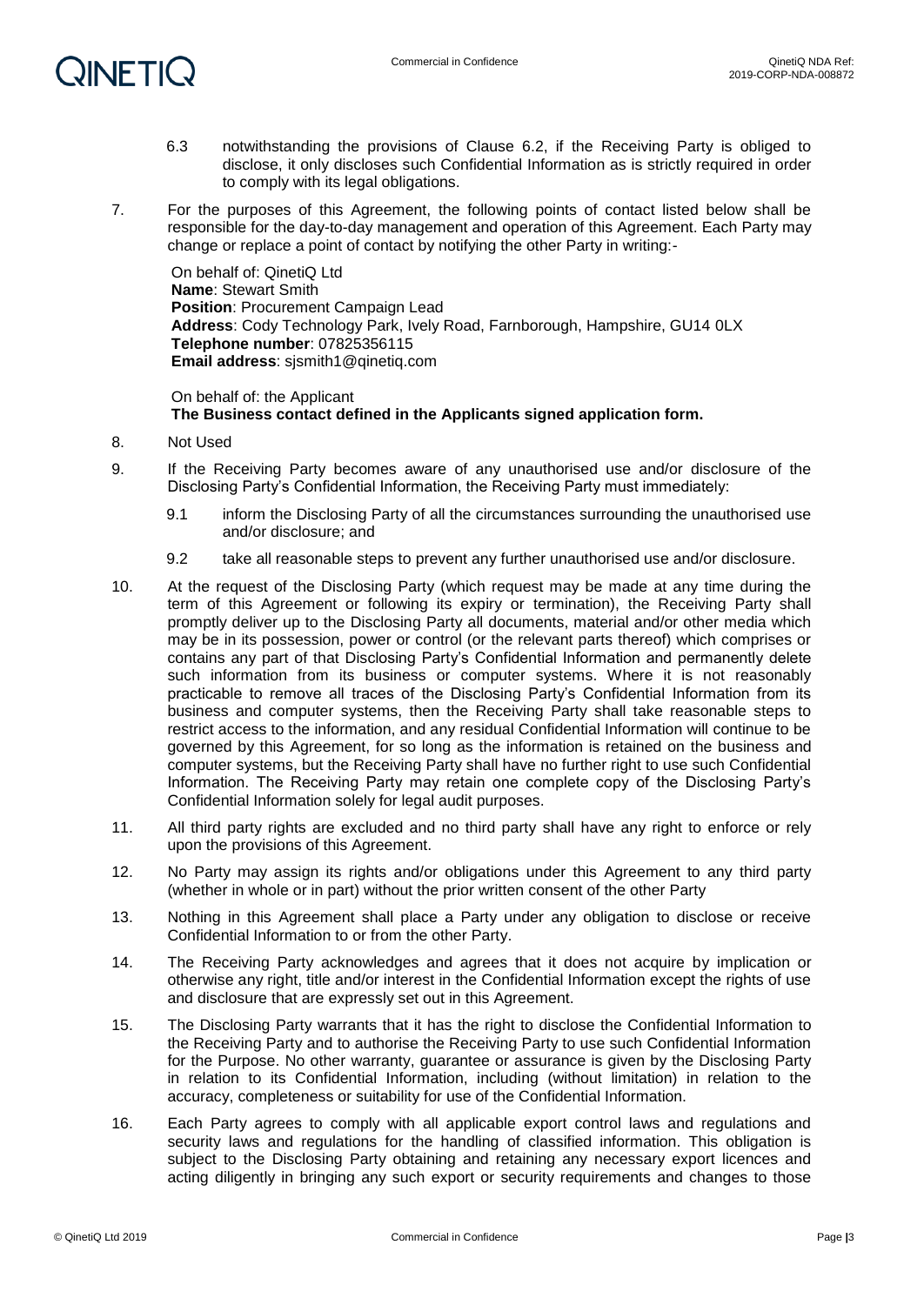# **QINETIQ**

- 6.3 notwithstanding the provisions of Clause 6.2, if the Receiving Party is obliged to disclose, it only discloses such Confidential Information as is strictly required in order to comply with its legal obligations.
- 7. For the purposes of this Agreement, the following points of contact listed below shall be responsible for the day-to-day management and operation of this Agreement. Each Party may change or replace a point of contact by notifying the other Party in writing:-

On behalf of: QinetiQ Ltd **Name**: Stewart Smith **Position: Procurement Campaign Lead Address**: Cody Technology Park, Ively Road, Farnborough, Hampshire, GU14 0LX **Telephone number**: 07825356115 **Email address**: sjsmith1@qinetiq.com

On behalf of: the Applicant **The Business contact defined in the Applicants signed application form.** 

- 8. Not Used
- 9. If the Receiving Party becomes aware of any unauthorised use and/or disclosure of the Disclosing Party's Confidential Information, the Receiving Party must immediately:
	- 9.1 inform the Disclosing Party of all the circumstances surrounding the unauthorised use and/or disclosure; and
	- 9.2 take all reasonable steps to prevent any further unauthorised use and/or disclosure.
- 10. At the request of the Disclosing Party (which request may be made at any time during the term of this Agreement or following its expiry or termination), the Receiving Party shall promptly deliver up to the Disclosing Party all documents, material and/or other media which may be in its possession, power or control (or the relevant parts thereof) which comprises or contains any part of that Disclosing Party's Confidential Information and permanently delete such information from its business or computer systems. Where it is not reasonably practicable to remove all traces of the Disclosing Party's Confidential Information from its business and computer systems, then the Receiving Party shall take reasonable steps to restrict access to the information, and any residual Confidential Information will continue to be governed by this Agreement, for so long as the information is retained on the business and computer systems, but the Receiving Party shall have no further right to use such Confidential Information. The Receiving Party may retain one complete copy of the Disclosing Party's Confidential Information solely for legal audit purposes.
- 11. All third party rights are excluded and no third party shall have any right to enforce or rely upon the provisions of this Agreement.
- 12. No Party may assign its rights and/or obligations under this Agreement to any third party (whether in whole or in part) without the prior written consent of the other Party
- 13. Nothing in this Agreement shall place a Party under any obligation to disclose or receive Confidential Information to or from the other Party.
- 14. The Receiving Party acknowledges and agrees that it does not acquire by implication or otherwise any right, title and/or interest in the Confidential Information except the rights of use and disclosure that are expressly set out in this Agreement.
- 15. The Disclosing Party warrants that it has the right to disclose the Confidential Information to the Receiving Party and to authorise the Receiving Party to use such Confidential Information for the Purpose. No other warranty, guarantee or assurance is given by the Disclosing Party in relation to its Confidential Information, including (without limitation) in relation to the accuracy, completeness or suitability for use of the Confidential Information.
- 16. Each Party agrees to comply with all applicable export control laws and regulations and security laws and regulations for the handling of classified information. This obligation is subject to the Disclosing Party obtaining and retaining any necessary export licences and acting diligently in bringing any such export or security requirements and changes to those